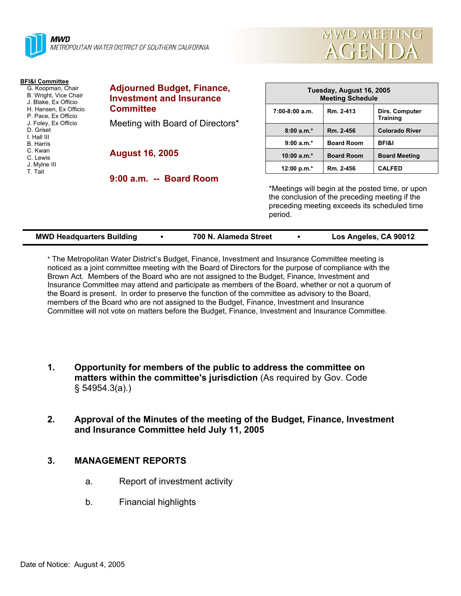



| <b>BFI&amp;I Committee</b><br>G. Koopman, Chair<br>B. Wright, Vice Chair<br>J. Blake, Ex Officio<br>H. Hansen, Ex Officio<br>P. Pace, Ex Officio<br>J. Foley, Ex Officio<br>D. Griset<br>I. Hall III<br><b>B.</b> Harris<br>C. Kwan<br>C. Lewis<br>J. Mylne III<br>T. Tait | <b>Adjourned Budget, Finance,</b><br><b>Investment and Insurance</b><br><b>Committee</b><br>Meeting with Board of Directors* | Tuesday, August 16, 2005<br><b>Meeting Schedule</b> |                                                                                                                                                    |                                   |  |
|----------------------------------------------------------------------------------------------------------------------------------------------------------------------------------------------------------------------------------------------------------------------------|------------------------------------------------------------------------------------------------------------------------------|-----------------------------------------------------|----------------------------------------------------------------------------------------------------------------------------------------------------|-----------------------------------|--|
|                                                                                                                                                                                                                                                                            |                                                                                                                              | $7:00-8:00$ a.m.                                    | Rm. 2-413                                                                                                                                          | Dirs. Computer<br><b>Training</b> |  |
|                                                                                                                                                                                                                                                                            |                                                                                                                              | $8:00a.m.*$                                         | Rm. 2-456                                                                                                                                          | <b>Colorado River</b>             |  |
|                                                                                                                                                                                                                                                                            |                                                                                                                              | $9:00 a.m.*$                                        | <b>Board Room</b>                                                                                                                                  | <b>BFI&amp;I</b>                  |  |
|                                                                                                                                                                                                                                                                            | <b>August 16, 2005</b>                                                                                                       | 10:00 $a.m.*$                                       | <b>Board Room</b>                                                                                                                                  | <b>Board Meeting</b>              |  |
|                                                                                                                                                                                                                                                                            |                                                                                                                              | 12:00 p.m.*                                         | Rm. 2-456                                                                                                                                          | <b>CALFED</b>                     |  |
|                                                                                                                                                                                                                                                                            | 9:00 a.m. -- Board Room                                                                                                      |                                                     |                                                                                                                                                    |                                   |  |
|                                                                                                                                                                                                                                                                            |                                                                                                                              | period.                                             | *Meetings will begin at the posted time, or upon<br>the conclusion of the preceding meeting if the<br>preceding meeting exceeds its scheduled time |                                   |  |

| <b>MWD Headquarters Building</b> | 700 N. Alameda Street | Los Angeles, CA 90012 |
|----------------------------------|-----------------------|-----------------------|
|                                  |                       |                       |
|                                  |                       |                       |
|                                  |                       |                       |
|                                  |                       |                       |

\* The Metropolitan Water District's Budget, Finance, Investment and Insurance Committee meeting is noticed as a joint committee meeting with the Board of Directors for the purpose of compliance with the Brown Act. Members of the Board who are not assigned to the Budget, Finance, Investment and Insurance Committee may attend and participate as members of the Board, whether or not a quorum of the Board is present. In order to preserve the function of the committee as advisory to the Board, members of the Board who are not assigned to the Budget, Finance, Investment and Insurance Committee will not vote on matters before the Budget, Finance, Investment and Insurance Committee.

- **1. Opportunity for members of the public to address the committee on matters within the committee's jurisdiction** (As required by Gov. Code § 54954.3(a).)
- **2. Approval of the Minutes of the meeting of the Budget, Finance, Investment and Insurance Committee held July 11, 2005**

# **3. MANAGEMENT REPORTS**

- a. Report of investment activity
- b. Financial highlights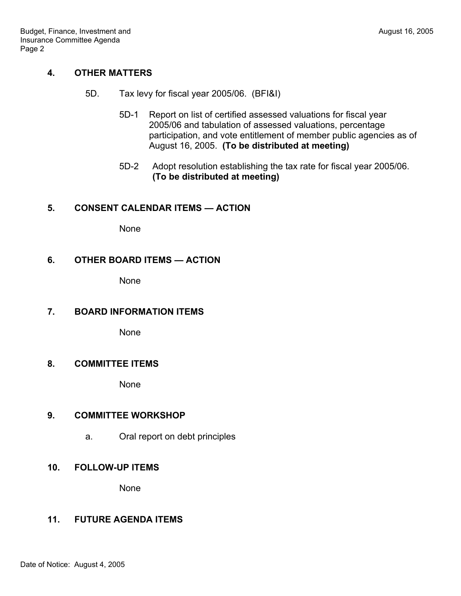# **4. OTHER MATTERS**

- 5D. Tax levy for fiscal year 2005/06. (BFI&I)
	- 5D-1 Report on list of certified assessed valuations for fiscal year 2005/06 and tabulation of assessed valuations, percentage participation, and vote entitlement of member public agencies as of August 16, 2005. **(To be distributed at meeting)**
	- 5D-2 Adopt resolution establishing the tax rate for fiscal year 2005/06. **(To be distributed at meeting)**

#### **5. CONSENT CALENDAR ITEMS — ACTION**

None

#### **6. OTHER BOARD ITEMS — ACTION**

None

## **7. BOARD INFORMATION ITEMS**

None

# **8. COMMITTEE ITEMS**

None

## **9. COMMITTEE WORKSHOP**

a. Oral report on debt principles

## **10. FOLLOW-UP ITEMS**

None

## **11. FUTURE AGENDA ITEMS**